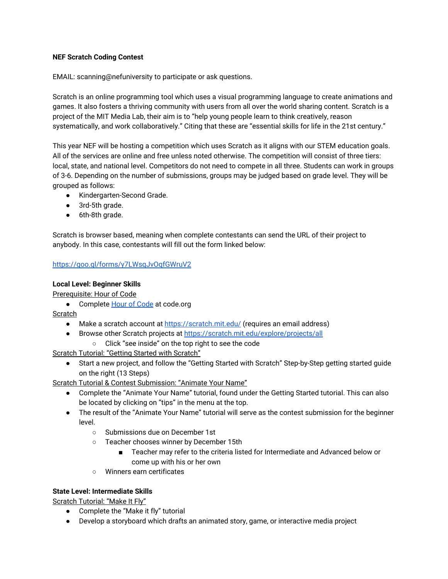## **NEF Scratch Coding Contest**

EMAIL: scanning@nefuniversity to participate or ask questions.

Scratch is an online programming tool which uses a visual programming language to create animations and games. It also fosters a thriving community with users from all over the world sharing content. Scratch is a project of the MIT Media Lab, their aim is to "help young people learn to think creatively, reason systematically, and work collaboratively." Citing that these are "essential skills for life in the 21st century."

This year NEF will be hosting a competition which uses Scratch as it aligns with our STEM education goals. All of the services are online and free unless noted otherwise. The competition will consist of three tiers: local, state, and national level. Competitors do not need to compete in all three. Students can work in groups of 3-6. Depending on the number of submissions, groups may be judged based on grade level. They will be grouped as follows:

- Kindergarten-Second Grade.
- 3rd-5th grade.
- 6th-8th grade.

Scratch is browser based, meaning when complete contestants can send the URL of their project to anybody. In this case, contestants will fill out the form linked below:

# <https://goo.gl/forms/y7LWsqJvOqfGWruV2>

## **Local Level: Beginner Skills**

Prerequisite: Hour of Code

● Complete [Hour of Code](https://code.org/learn) at code.org

Scratch

- Make a scratch account at<https://scratch.mit.edu/>(requires an email address)
- Browse other Scratch projects at<https://scratch.mit.edu/explore/projects/all>
	- Click "see inside" on the top right to see the code

Scratch Tutorial: "Getting Started with Scratch"

● Start a new project, and follow the "Getting Started with Scratch" Step-by-Step getting started guide on the right (13 Steps)

Scratch Tutorial & Contest Submission: "Animate Your Name"

- Complete the "Animate Your Name" tutorial, found under the Getting Started tutorial. This can also be located by clicking on "tips" in the menu at the top.
- The result of the "Animate Your Name" tutorial will serve as the contest submission for the beginner level.
	- Submissions due on December 1st
	- Teacher chooses winner by December 15th
		- Teacher may refer to the criteria listed for Intermediate and Advanced below or come up with his or her own
	- Winners earn certificates

# **State Level: Intermediate Skills**

Scratch Tutorial: "Make It Fly"

- Complete the "Make it fly" tutorial
- Develop a storyboard which drafts an animated story, game, or interactive media project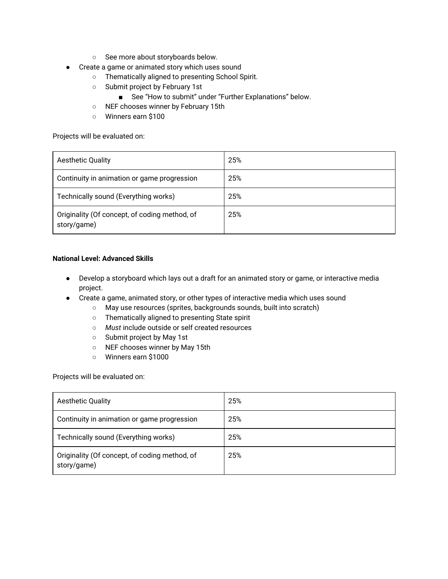- See more about storyboards below.
- Create a game or animated story which uses sound
	- Thematically aligned to presenting School Spirit.
	- Submit project by February 1st
		- See "How to submit" under "Further Explanations" below.
	- NEF chooses winner by February 15th
	- Winners earn \$100

Projects will be evaluated on:

| <b>Aesthetic Quality</b>                                     | 25% |
|--------------------------------------------------------------|-----|
| Continuity in animation or game progression                  | 25% |
| Technically sound (Everything works)                         | 25% |
| Originality (Of concept, of coding method, of<br>story/game) | 25% |

#### **National Level: Advanced Skills**

- Develop a storyboard which lays out a draft for an animated story or game, or interactive media project.
- Create a game, animated story, or other types of interactive media which uses sound
	- May use resources (sprites, backgrounds sounds, built into scratch)
	- Thematically aligned to presenting State spirit
	- *Must* include outside or self created resources
	- Submit project by May 1st
	- NEF chooses winner by May 15th
	- Winners earn \$1000

Projects will be evaluated on:

| <b>Aesthetic Quality</b>                                     | 25% |
|--------------------------------------------------------------|-----|
| Continuity in animation or game progression                  | 25% |
| Technically sound (Everything works)                         | 25% |
| Originality (Of concept, of coding method, of<br>story/game) | 25% |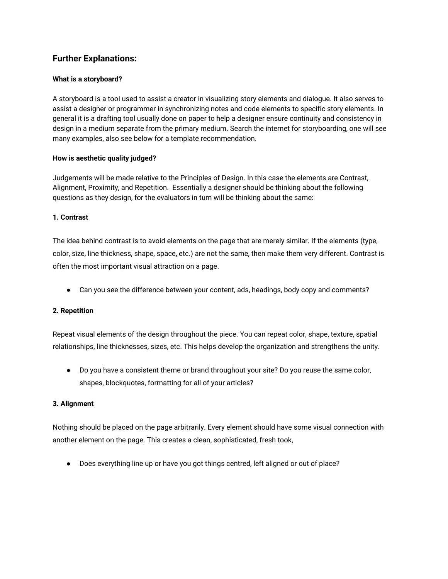# **Further Explanations:**

#### **What is a storyboard?**

A storyboard is a tool used to assist a creator in visualizing story elements and dialogue. It also serves to assist a designer or programmer in synchronizing notes and code elements to specific story elements. In general it is a drafting tool usually done on paper to help a designer ensure continuity and consistency in design in a medium separate from the primary medium. Search the internet for storyboarding, one will see many examples, also see below for a template recommendation.

#### **How is aesthetic quality judged?**

Judgements will be made relative to the Principles of Design. In this case the elements are Contrast, Alignment, Proximity, and Repetition. Essentially a designer should be thinking about the following questions as they design, for the evaluators in turn will be thinking about the same:

#### **1. Contrast**

The idea behind contrast is to avoid elements on the page that are merely similar. If the elements (type, color, size, line thickness, shape, space, etc.) are not the same, then make them very different. Contrast is often the most important visual attraction on a page.

● Can you see the difference between your content, ads, headings, body copy and comments?

#### **2. Repetition**

Repeat visual elements of the design throughout the piece. You can repeat color, shape, texture, spatial relationships, line thicknesses, sizes, etc. This helps develop the organization and strengthens the unity.

● Do you have a consistent theme or brand throughout your site? Do you reuse the same color, shapes, blockquotes, formatting for all of your articles?

#### **3. Alignment**

Nothing should be placed on the page arbitrarily. Every element should have some visual connection with another element on the page. This creates a clean, sophisticated, fresh took,

● Does everything line up or have you got things centred, left aligned or out of place?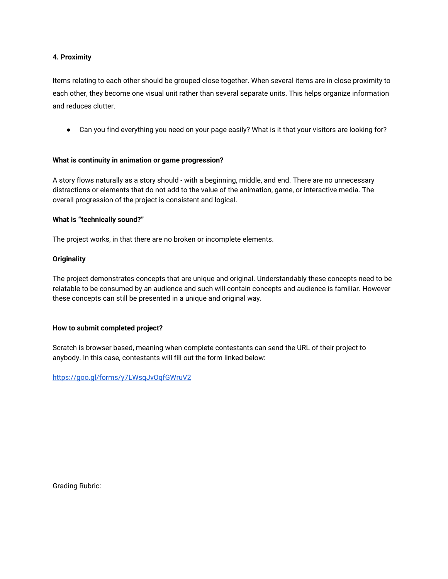#### **4. Proximity**

Items relating to each other should be grouped close together. When several items are in close proximity to each other, they become one visual unit rather than several separate units. This helps organize information and reduces clutter.

• Can you find everything you need on your page easily? What is it that your visitors are looking for?

#### **What is continuity in animation or game progression?**

A story flows naturally as a story should - with a beginning, middle, and end. There are no unnecessary distractions or elements that do not add to the value of the animation, game, or interactive media. The overall progression of the project is consistent and logical.

#### **What is "technically sound?"**

The project works, in that there are no broken or incomplete elements.

#### **Originality**

The project demonstrates concepts that are unique and original. Understandably these concepts need to be relatable to be consumed by an audience and such will contain concepts and audience is familiar. However these concepts can still be presented in a unique and original way.

## **How to submit completed project?**

Scratch is browser based, meaning when complete contestants can send the URL of their project to anybody. In this case, contestants will fill out the form linked below:

<https://goo.gl/forms/y7LWsqJvOqfGWruV2>

Grading Rubric: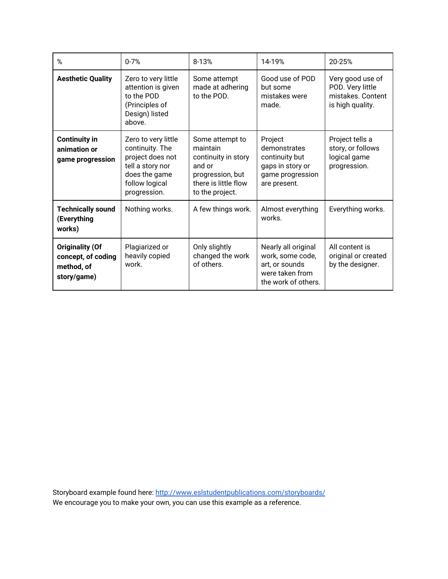| %                                                                         | $0 - 7%$                                                                                                                          | 8-13%                                                                                                                       | 14-19%                                                                                              | 20-25%                                                                        |
|---------------------------------------------------------------------------|-----------------------------------------------------------------------------------------------------------------------------------|-----------------------------------------------------------------------------------------------------------------------------|-----------------------------------------------------------------------------------------------------|-------------------------------------------------------------------------------|
| <b>Aesthetic Quality</b>                                                  | Zero to very little<br>attention is given<br>to the POD<br>(Principles of<br>Design) listed<br>above.                             | Some attempt<br>made at adhering<br>to the POD.                                                                             | Good use of POD<br>but some<br>mistakes were<br>made.                                               | Very good use of<br>POD. Very little<br>mistakes. Content<br>is high quality. |
| <b>Continuity in</b><br>animation or<br>game progression                  | Zero to very little<br>continuity. The<br>project does not<br>tell a story nor<br>does the game<br>follow logical<br>progression. | Some attempt to<br>maintain<br>continuity in story<br>and or<br>progression, but<br>there is little flow<br>to the project. | Project<br>demonstrates<br>continuity but<br>gaps in story or<br>game progression<br>are present.   | Project tells a<br>story, or follows<br>logical game<br>progression.          |
| <b>Technically sound</b><br>(Everything<br>works)                         | Nothing works.                                                                                                                    | A few things work.                                                                                                          | Almost everything<br>works.                                                                         | Everything works.                                                             |
| <b>Originality (Of</b><br>concept, of coding<br>method, of<br>story/game) | Plagiarized or<br>heavily copied<br>work.                                                                                         | Only slightly<br>changed the work<br>of others.                                                                             | Nearly all original<br>work, some code,<br>art, or sounds<br>were taken from<br>the work of others. | All content is<br>original or created<br>by the designer.                     |

Storyboard example found here:<http://www.eslstudentpublications.com/storyboards/> We encourage you to make your own, you can use this example as a reference.